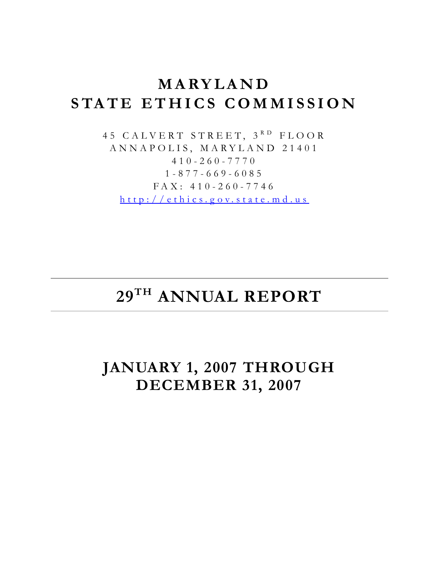# **MARYLAND STATE ETHICS COMMISSION**

45 CALVERT STREET, 3RD FLOOR ANNAPOLIS, MARYLAND 21401 410-260-7770 1-877-669-6085 FAX: 410-260-7746 [http://ethics.g ov.state.md.us](http://ethics.gov.state.md.us/)

# **29TH ANNUAL REPORT**

**JANUARY 1, 2007 THROUGH DECEMBER 31, 2007**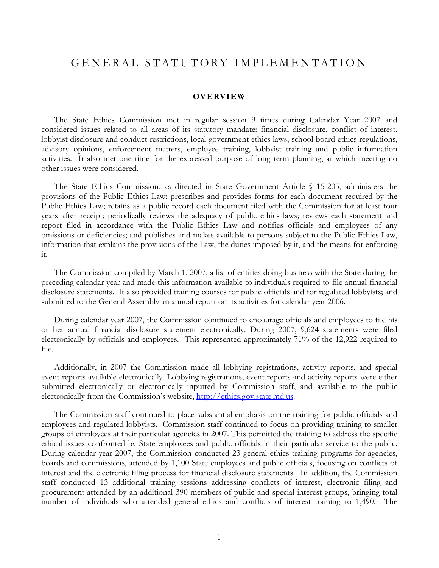#### **OVERVIEW**

The State Ethics Commission met in regular session 9 times during Calendar Year 2007 and considered issues related to all areas of its statutory mandate: financial disclosure, conflict of interest, lobbyist disclosure and conduct restrictions, local government ethics laws, school board ethics regulations, advisory opinions, enforcement matters, employee training, lobbyist training and public information activities. It also met one time for the expressed purpose of long term planning, at which meeting no other issues were considered.

The State Ethics Commission, as directed in State Government Article § 15-205, administers the provisions of the Public Ethics Law; prescribes and provides forms for each document required by the Public Ethics Law; retains as a public record each document filed with the Commission for at least four years after receipt; periodically reviews the adequacy of public ethics laws; reviews each statement and report filed in accordance with the Public Ethics Law and notifies officials and employees of any omissions or deficiencies; and publishes and makes available to persons subject to the Public Ethics Law, information that explains the provisions of the Law, the duties imposed by it, and the means for enforcing it.

The Commission compiled by March 1, 2007, a list of entities doing business with the State during the preceding calendar year and made this information available to individuals required to file annual financial disclosure statements. It also provided training courses for public officials and for regulated lobbyists; and submitted to the General Assembly an annual report on its activities for calendar year 2006.

During calendar year 2007, the Commission continued to encourage officials and employees to file his or her annual financial disclosure statement electronically. During 2007, 9,624 statements were filed electronically by officials and employees. This represented approximately 71% of the 12,922 required to file.

Additionally, in 2007 the Commission made all lobbying registrations, activity reports, and special event reports available electronically. Lobbying registrations, event reports and activity reports were either submitted electronically or electronically inputted by Commission staff, and available to the public electronically from the Commission's website, [http://ethics.gov.state.md.us](https://ethics.gov.state.md.us/).

The Commission staff continued to place substantial emphasis on the training for public officials and employees and regulated lobbyists. Commission staff continued to focus on providing training to smaller groups of employees at their particular agencies in 2007. This permitted the training to address the specific ethical issues confronted by State employees and public officials in their particular service to the public. During calendar year 2007, the Commission conducted 23 general ethics training programs for agencies, boards and commissions, attended by 1,100 State employees and public officials, focusing on conflicts of interest and the electronic filing process for financial disclosure statements. In addition, the Commission staff conducted 13 additional training sessions addressing conflicts of interest, electronic filing and procurement attended by an additional 390 members of public and special interest groups, bringing total number of individuals who attended general ethics and conflicts of interest training to 1,490. The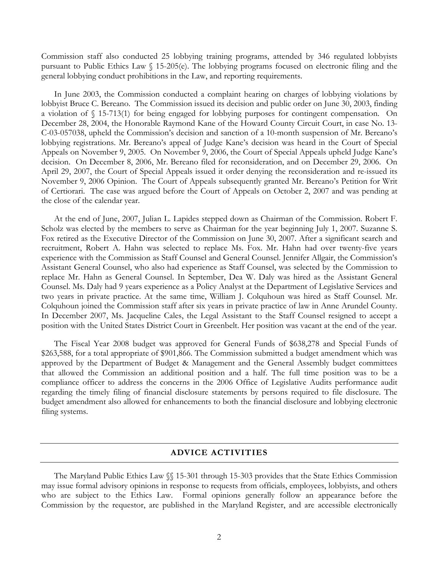Commission staff also conducted 25 lobbying training programs, attended by 346 regulated lobbyists pursuant to Public Ethics Law § 15-205(e). The lobbying programs focused on electronic filing and the general lobbying conduct prohibitions in the Law, and reporting requirements.

In June 2003, the Commission conducted a complaint hearing on charges of lobbying violations by lobbyist Bruce C. Bereano. The Commission issued its decision and public order on June 30, 2003, finding a violation of § 15-713(1) for being engaged for lobbying purposes for contingent compensation. On December 28, 2004, the Honorable Raymond Kane of the Howard County Circuit Court, in case No. 13- C-03-057038, upheld the Commission's decision and sanction of a 10-month suspension of Mr. Bereano's lobbying registrations. Mr. Bereano's appeal of Judge Kane's decision was heard in the Court of Special Appeals on November 9, 2005. On November 9, 2006, the Court of Special Appeals upheld Judge Kane's decision. On December 8, 2006, Mr. Bereano filed for reconsideration, and on December 29, 2006. On April 29, 2007, the Court of Special Appeals issued it order denying the reconsideration and re-issued its November 9, 2006 Opinion. The Court of Appeals subsequently granted Mr. Bereano's Petition for Writ of Certiorari. The case was argued before the Court of Appeals on October 2, 2007 and was pending at the close of the calendar year.

At the end of June, 2007, Julian L. Lapides stepped down as Chairman of the Commission. Robert F. Scholz was elected by the members to serve as Chairman for the year beginning July 1, 2007. Suzanne S. Fox retired as the Executive Director of the Commission on June 30, 2007. After a significant search and recruitment, Robert A. Hahn was selected to replace Ms. Fox. Mr. Hahn had over twenty-five years experience with the Commission as Staff Counsel and General Counsel. Jennifer Allgair, the Commission's Assistant General Counsel, who also had experience as Staff Counsel, was selected by the Commission to replace Mr. Hahn as General Counsel. In September, Dea W. Daly was hired as the Assistant General Counsel. Ms. Daly had 9 years experience as a Policy Analyst at the Department of Legislative Services and two years in private practice. At the same time, William J. Colquhoun was hired as Staff Counsel. Mr. Colquhoun joined the Commission staff after six years in private practice of law in Anne Arundel County. In December 2007, Ms. Jacqueline Cales, the Legal Assistant to the Staff Counsel resigned to accept a position with the United States District Court in Greenbelt. Her position was vacant at the end of the year.

The Fiscal Year 2008 budget was approved for General Funds of \$638,278 and Special Funds of \$263,588, for a total appropriate of \$901,866. The Commission submitted a budget amendment which was approved by the Department of Budget & Management and the General Assembly budget committees that allowed the Commission an additional position and a half. The full time position was to be a compliance officer to address the concerns in the 2006 Office of Legislative Audits performance audit regarding the timely filing of financial disclosure statements by persons required to file disclosure. The budget amendment also allowed for enhancements to both the financial disclosure and lobbying electronic filing systems.

#### **ADVICE ACTIVITIES**

The Maryland Public Ethics Law §§ 15-301 through 15-303 provides that the State Ethics Commission may issue formal advisory opinions in response to requests from officials, employees, lobbyists, and others who are subject to the Ethics Law. Formal opinions generally follow an appearance before the Commission by the requestor, are published in the Maryland Register, and are accessible electronically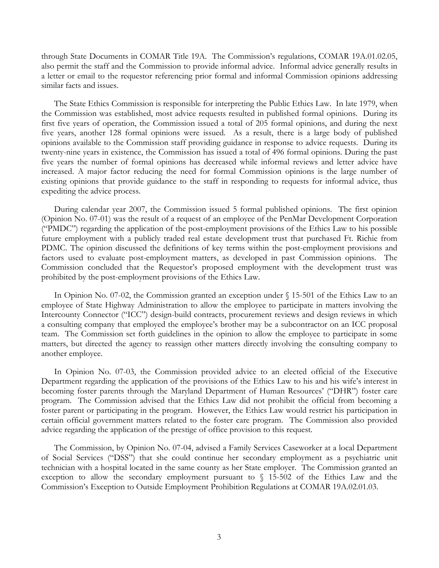through State Documents in COMAR Title 19A. The Commission's regulations, COMAR 19A.01.02.05, also permit the staff and the Commission to provide informal advice. Informal advice generally results in a letter or email to the requestor referencing prior formal and informal Commission opinions addressing similar facts and issues.

The State Ethics Commission is responsible for interpreting the Public Ethics Law. In late 1979, when the Commission was established, most advice requests resulted in published formal opinions. During its first five years of operation, the Commission issued a total of 205 formal opinions, and during the next five years, another 128 formal opinions were issued. As a result, there is a large body of published opinions available to the Commission staff providing guidance in response to advice requests. During its twenty-nine years in existence, the Commission has issued a total of 496 formal opinions. During the past five years the number of formal opinions has decreased while informal reviews and letter advice have increased. A major factor reducing the need for formal Commission opinions is the large number of existing opinions that provide guidance to the staff in responding to requests for informal advice, thus expediting the advice process.

During calendar year 2007, the Commission issued 5 formal published opinions. The first opinion (Opinion No. 07-01) was the result of a request of an employee of the PenMar Development Corporation ("PMDC") regarding the application of the post-employment provisions of the Ethics Law to his possible future employment with a publicly traded real estate development trust that purchased Ft. Richie from PDMC. The opinion discussed the definitions of key terms within the post-employment provisions and factors used to evaluate post-employment matters, as developed in past Commission opinions. The Commission concluded that the Requestor's proposed employment with the development trust was prohibited by the post-employment provisions of the Ethics Law.

In Opinion No. 07-02, the Commission granted an exception under § 15-501 of the Ethics Law to an employee of State Highway Administration to allow the employee to participate in matters involving the Intercounty Connector ("ICC") design-build contracts, procurement reviews and design reviews in which a consulting company that employed the employee's brother may be a subcontractor on an ICC proposal team. The Commission set forth guidelines in the opinion to allow the employee to participate in some matters, but directed the agency to reassign other matters directly involving the consulting company to another employee.

In Opinion No. 07-03, the Commission provided advice to an elected official of the Executive Department regarding the application of the provisions of the Ethics Law to his and his wife's interest in becoming foster parents through the Maryland Department of Human Resources' ("DHR") foster care program. The Commission advised that the Ethics Law did not prohibit the official from becoming a foster parent or participating in the program. However, the Ethics Law would restrict his participation in certain official government matters related to the foster care program. The Commission also provided advice regarding the application of the prestige of office provision to this request.

The Commission, by Opinion No. 07-04, advised a Family Services Caseworker at a local Department of Social Services ("DSS") that she could continue her secondary employment as a psychiatric unit technician with a hospital located in the same county as her State employer. The Commission granted an exception to allow the secondary employment pursuant to § 15-502 of the Ethics Law and the Commission's Exception to Outside Employment Prohibition Regulations at COMAR 19A.02.01.03.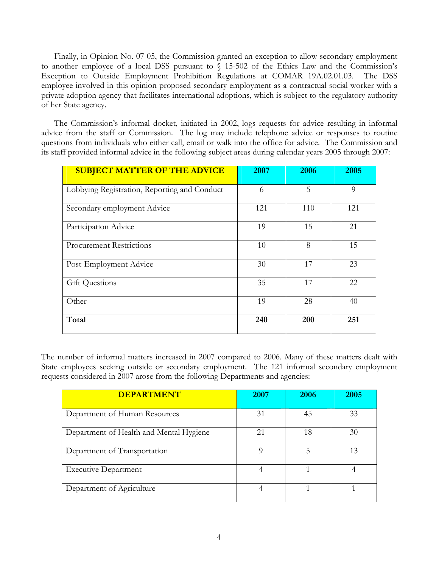Finally, in Opinion No. 07-05, the Commission granted an exception to allow secondary employment to another employee of a local DSS pursuant to  $\sqrt{15-502}$  of the Ethics Law and the Commission's Exception to Outside Employment Prohibition Regulations at COMAR 19A.02.01.03. The DSS employee involved in this opinion proposed secondary employment as a contractual social worker with a private adoption agency that facilitates international adoptions, which is subject to the regulatory authority of her State agency.

The Commission's informal docket, initiated in 2002, logs requests for advice resulting in informal advice from the staff or Commission. The log may include telephone advice or responses to routine questions from individuals who either call, email or walk into the office for advice. The Commission and its staff provided informal advice in the following subject areas during calendar years 2005 through 2007:

| <b>SUBJECT MATTER OF THE ADVICE</b>          | 2007 | 2006 | 2005     |
|----------------------------------------------|------|------|----------|
| Lobbying Registration, Reporting and Conduct | 6    | 5    | $\Omega$ |
| Secondary employment Advice                  | 121  | 110  | 121      |
| Participation Advice                         | 19   | 15   | 21       |
| <b>Procurement Restrictions</b>              | 10   | 8    | 15       |
| Post-Employment Advice                       | 30   | 17   | 23       |
| <b>Gift Questions</b>                        | 35   | 17   | 22       |
| Other                                        | 19   | 28   | 40       |
| Total                                        | 240  | 200  | 251      |

The number of informal matters increased in 2007 compared to 2006. Many of these matters dealt with State employees seeking outside or secondary employment. The 121 informal secondary employment requests considered in 2007 arose from the following Departments and agencies:

| <b>DEPARTMENT</b>                       | 2007           | 2006 | <b>2005</b> |
|-----------------------------------------|----------------|------|-------------|
| Department of Human Resources           | 31             | 45   | 33          |
| Department of Health and Mental Hygiene | 21             | 18   | 30          |
| Department of Transportation            | Q              | 5    | 13          |
| <b>Executive Department</b>             | $\overline{4}$ |      |             |
| Department of Agriculture               | 4              |      |             |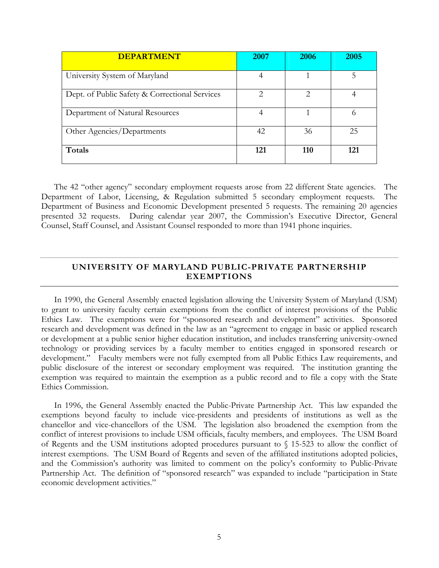| <b>DEPARTMENT</b>                              | 2007                        | 2006                          | 2005 |
|------------------------------------------------|-----------------------------|-------------------------------|------|
| University System of Maryland                  | 4                           |                               |      |
| Dept. of Public Safety & Correctional Services | $\mathcal{D}_{\mathcal{L}}$ | $\mathfrak{D}_{\mathfrak{p}}$ |      |
| Department of Natural Resources                |                             |                               |      |
| Other Agencies/Departments                     | 42                          | 36                            | 25   |
| Totals                                         | 121                         | 110                           | 121  |

The 42 "other agency" secondary employment requests arose from 22 different State agencies. The Department of Labor, Licensing, & Regulation submitted 5 secondary employment requests. The Department of Business and Economic Development presented 5 requests. The remaining 20 agencies presented 32 requests. During calendar year 2007, the Commission's Executive Director, General Counsel, Staff Counsel, and Assistant Counsel responded to more than 1941 phone inquiries.

#### **UNIVERSITY OF MARYLAND PUBLIC-PRIVATE PARTNERSHIP EXEMPTIONS**

In 1990, the General Assembly enacted legislation allowing the University System of Maryland (USM) to grant to university faculty certain exemptions from the conflict of interest provisions of the Public Ethics Law. The exemptions were for "sponsored research and development" activities. Sponsored research and development was defined in the law as an "agreement to engage in basic or applied research or development at a public senior higher education institution, and includes transferring university-owned technology or providing services by a faculty member to entities engaged in sponsored research or development." Faculty members were not fully exempted from all Public Ethics Law requirements, and public disclosure of the interest or secondary employment was required. The institution granting the exemption was required to maintain the exemption as a public record and to file a copy with the State Ethics Commission.

In 1996, the General Assembly enacted the Public-Private Partnership Act. This law expanded the exemptions beyond faculty to include vice-presidents and presidents of institutions as well as the chancellor and vice-chancellors of the USM. The legislation also broadened the exemption from the conflict of interest provisions to include USM officials, faculty members, and employees. The USM Board of Regents and the USM institutions adopted procedures pursuant to § 15-523 to allow the conflict of interest exemptions. The USM Board of Regents and seven of the affiliated institutions adopted policies, and the Commission's authority was limited to comment on the policy's conformity to Public-Private Partnership Act. The definition of "sponsored research" was expanded to include "participation in State economic development activities."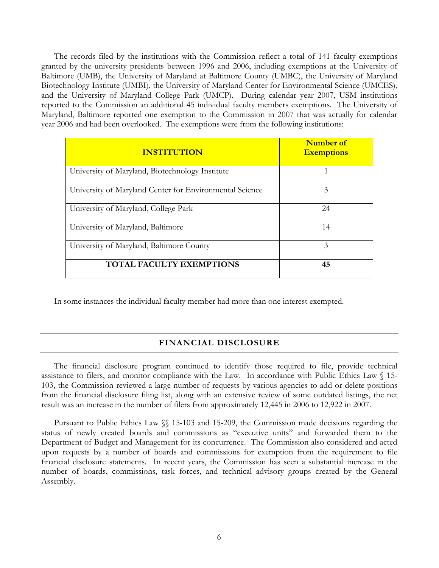The records filed by the institutions with the Commission reflect a total of 141 faculty exemptions granted by the university presidents between 1996 and 2006, including exemptions at the University of Baltimore (UMB), the University of Maryland at Baltimore County (UMBC), the University of Maryland Biotechnology Institute (UMBI), the University of Maryland Center for Environmental Science (UMCES), and the University of Maryland College Park (UMCP). During calendar year 2007, USM institutions reported to the Commission an additional 45 individual faculty members exemptions. The University of Maryland, Baltimore reported one exemption to the Commission in 2007 that was actually for calendar year 2006 and had been overlooked. The exemptions were from the following institutions:

| <b>INSTITUTION</b>                                      | Number of<br><b>Exemptions</b> |
|---------------------------------------------------------|--------------------------------|
| University of Maryland, Biotechnology Institute         |                                |
| University of Maryland Center for Environmental Science | 3                              |
| University of Maryland, College Park                    | 24                             |
| University of Maryland, Baltimore                       | 14                             |
| University of Maryland, Baltimore County                | 3                              |
| <b>TOTAL FACULTY EXEMPTIONS</b>                         | 45                             |

In some instances the individual faculty member had more than one interest exempted.

#### **FINANCIAL DISCLOSURE**

The financial disclosure program continued to identify those required to file, provide technical assistance to filers, and monitor compliance with the Law. In accordance with Public Ethics Law § 15- 103, the Commission reviewed a large number of requests by various agencies to add or delete positions from the financial disclosure filing list, along with an extensive review of some outdated listings, the net result was an increase in the number of filers from approximately 12,445 in 2006 to 12,922 in 2007.

Pursuant to Public Ethics Law §§ 15-103 and 15-209, the Commission made decisions regarding the status of newly created boards and commissions as "executive units" and forwarded them to the Department of Budget and Management for its concurrence. The Commission also considered and acted upon requests by a number of boards and commissions for exemption from the requirement to file financial disclosure statements. In recent years, the Commission has seen a substantial increase in the number of boards, commissions, task forces, and technical advisory groups created by the General Assembly.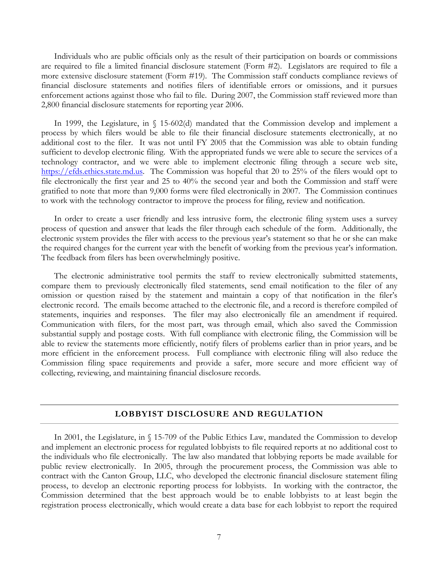Individuals who are public officials only as the result of their participation on boards or commissions are required to file a limited financial disclosure statement (Form #2). Legislators are required to file a more extensive disclosure statement (Form #19). The Commission staff conducts compliance reviews of financial disclosure statements and notifies filers of identifiable errors or omissions, and it pursues enforcement actions against those who fail to file. During 2007, the Commission staff reviewed more than 2,800 financial disclosure statements for reporting year 2006.

In 1999, the Legislature, in  $\binom{15-602}{d}$  mandated that the Commission develop and implement a process by which filers would be able to file their financial disclosure statements electronically, at no additional cost to the filer. It was not until FY 2005 that the Commission was able to obtain funding sufficient to develop electronic filing. With the appropriated funds we were able to secure the services of a technology contractor, and we were able to implement electronic filing through a secure web site, [https://efds.ethics.state.md.us](https://efds.ethics.state.md.us/). The Commission was hopeful that 20 to 25% of the filers would opt to file electronically the first year and 25 to 40% the second year and both the Commission and staff were gratified to note that more than 9,000 forms were filed electronically in 2007. The Commission continues to work with the technology contractor to improve the process for filing, review and notification.

In order to create a user friendly and less intrusive form, the electronic filing system uses a survey process of question and answer that leads the filer through each schedule of the form. Additionally, the electronic system provides the filer with access to the previous year's statement so that he or she can make the required changes for the current year with the benefit of working from the previous year's information. The feedback from filers has been overwhelmingly positive.

The electronic administrative tool permits the staff to review electronically submitted statements, compare them to previously electronically filed statements, send email notification to the filer of any omission or question raised by the statement and maintain a copy of that notification in the filer's electronic record. The emails become attached to the electronic file, and a record is therefore compiled of statements, inquiries and responses. The filer may also electronically file an amendment if required. Communication with filers, for the most part, was through email, which also saved the Commission substantial supply and postage costs. With full compliance with electronic filing, the Commission will be able to review the statements more efficiently, notify filers of problems earlier than in prior years, and be more efficient in the enforcement process. Full compliance with electronic filing will also reduce the Commission filing space requirements and provide a safer, more secure and more efficient way of collecting, reviewing, and maintaining financial disclosure records.

#### **LOBBYIST DISCLOSURE AND REGULATION**

In 2001, the Legislature, in § 15-709 of the Public Ethics Law, mandated the Commission to develop and implement an electronic process for regulated lobbyists to file required reports at no additional cost to the individuals who file electronically. The law also mandated that lobbying reports be made available for public review electronically. In 2005, through the procurement process, the Commission was able to contract with the Canton Group, LLC, who developed the electronic financial disclosure statement filing process, to develop an electronic reporting process for lobbyists. In working with the contractor, the Commission determined that the best approach would be to enable lobbyists to at least begin the registration process electronically, which would create a data base for each lobbyist to report the required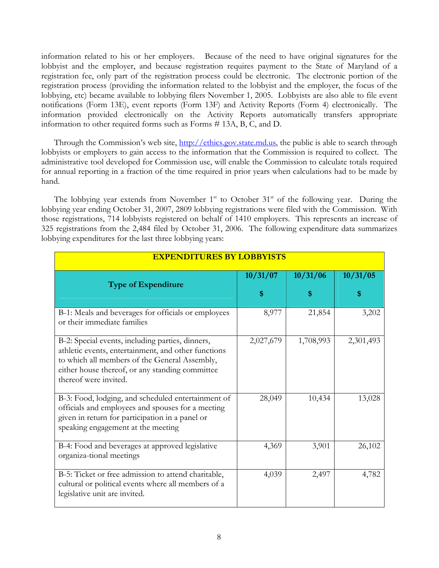information related to his or her employers. Because of the need to have original signatures for the lobbyist and the employer, and because registration requires payment to the State of Maryland of a registration fee, only part of the registration process could be electronic. The electronic portion of the registration process (providing the information related to the lobbyist and the employer, the focus of the lobbying, etc) became available to lobbying filers November 1, 2005. Lobbyists are also able to file event notifications (Form 13E), event reports (Form 13F) and Activity Reports (Form 4) electronically. The information provided electronically on the Activity Reports automatically transfers appropriate information to other required forms such as Forms # 13A, B, C, and D.

Through the Commission's web site, [http://ethics.gov.state.md.us,](http://ethics.gov.state.md.us/) the public is able to search through lobbyists or employers to gain access to the information that the Commission is required to collect. The administrative tool developed for Commission use, will enable the Commission to calculate totals required for annual reporting in a fraction of the time required in prior years when calculations had to be made by hand.

The lobbying year extends from November  $1<sup>st</sup>$  to October  $31<sup>st</sup>$  of the following year. During the lobbying year ending October 31, 2007, 2809 lobbying registrations were filed with the Commission. With those registrations, 714 lobbyists registered on behalf of 1410 employers. This represents an increase of 325 registrations from the 2,484 filed by October 31, 2006. The following expenditure data summarizes lobbying expenditures for the last three lobbying years:

| <b>EXPENDITURES BY LOBBYISTS</b>                                                                                                                                                                                                     |           |           |           |
|--------------------------------------------------------------------------------------------------------------------------------------------------------------------------------------------------------------------------------------|-----------|-----------|-----------|
| <b>Type of Expenditure</b>                                                                                                                                                                                                           | 10/31/07  | 10/31/06  | 10/31/05  |
|                                                                                                                                                                                                                                      | \$        | S         | \$        |
| B-1: Meals and beverages for officials or employees<br>or their immediate families                                                                                                                                                   | 8,977     | 21,854    | 3,202     |
| B-2: Special events, including parties, dinners,<br>athletic events, entertainment, and other functions<br>to which all members of the General Assembly,<br>either house thereof, or any standing committee<br>thereof were invited. | 2,027,679 | 1,708,993 | 2,301,493 |
| B-3: Food, lodging, and scheduled entertainment of<br>officials and employees and spouses for a meeting<br>given in return for participation in a panel or<br>speaking engagement at the meeting                                     | 28,049    | 10,434    | 13,028    |
| B-4: Food and beverages at approved legislative<br>organiza-tional meetings                                                                                                                                                          | 4,369     | 3,901     | 26,102    |
| B-5: Ticket or free admission to attend charitable,<br>cultural or political events where all members of a<br>legislative unit are invited.                                                                                          | 4,039     | 2,497     | 4,782     |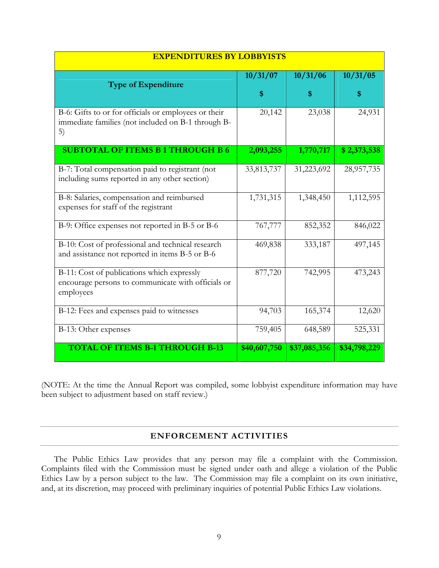| <b>EXPENDITURES BY LOBBYISTS</b>                                                                                 |              |              |              |
|------------------------------------------------------------------------------------------------------------------|--------------|--------------|--------------|
| <b>Type of Expenditure</b>                                                                                       | 10/31/07     | 10/31/06     | 10/31/05     |
|                                                                                                                  | S            | \$           | \$           |
| B-6: Gifts to or for officials or employees or their<br>immediate families (not included on B-1 through B-<br>5) | 20,142       | 23,038       | 24,931       |
| <b>SUBTOTAL OF ITEMS B1 THROUGH B6</b>                                                                           | 2,093,255    | 1,770,717    | \$2,373,538  |
| B-7: Total compensation paid to registrant (not<br>including sums reported in any other section)                 | 33,813,737   | 31,223,692   | 28,957,735   |
| B-8: Salaries, compensation and reimbursed<br>expenses for staff of the registrant                               | 1,731,315    | 1,348,450    | 1,112,595    |
| B-9: Office expenses not reported in B-5 or B-6                                                                  | 767,777      | 852,352      | 846,022      |
| B-10: Cost of professional and technical research<br>and assistance not reported in items B-5 or B-6             | 469,838      | 333,187      | 497,145      |
| B-11: Cost of publications which expressly<br>encourage persons to communicate with officials or<br>employees    | 877,720      | 742,995      | 473,243      |
| B-12: Fees and expenses paid to witnesses                                                                        | 94,703       | 165,374      | 12,620       |
| B-13: Other expenses                                                                                             | 759,405      | 648,589      | 525,331      |
| <b>TOTAL OF ITEMS B-1 THROUGH B-13</b>                                                                           | \$40,607,750 | \$37,085,356 | \$34,798,229 |

(NOTE: At the time the Annual Report was compiled, some lobbyist expenditure information may have been subject to adjustment based on staff review.)

#### **ENFORCEMENT ACTIVITIES**

The Public Ethics Law provides that any person may file a complaint with the Commission. Complaints filed with the Commission must be signed under oath and allege a violation of the Public Ethics Law by a person subject to the law. The Commission may file a complaint on its own initiative, and, at its discretion, may proceed with preliminary inquiries of potential Public Ethics Law violations.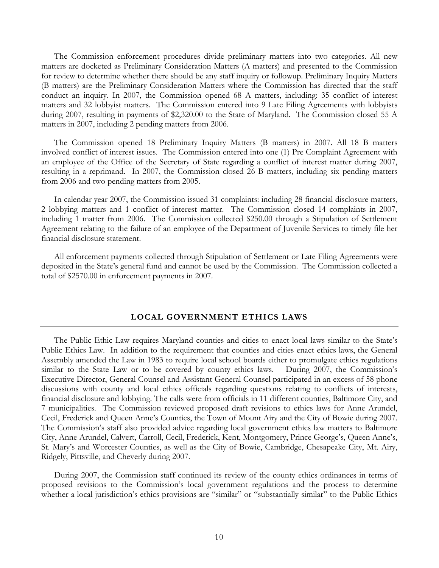The Commission enforcement procedures divide preliminary matters into two categories. All new matters are docketed as Preliminary Consideration Matters (A matters) and presented to the Commission for review to determine whether there should be any staff inquiry or followup. Preliminary Inquiry Matters (B matters) are the Preliminary Consideration Matters where the Commission has directed that the staff conduct an inquiry. In 2007, the Commission opened 68 A matters, including: 35 conflict of interest matters and 32 lobbyist matters. The Commission entered into 9 Late Filing Agreements with lobbyists during 2007, resulting in payments of \$2,320.00 to the State of Maryland. The Commission closed 55 A matters in 2007, including 2 pending matters from 2006.

The Commission opened 18 Preliminary Inquiry Matters (B matters) in 2007. All 18 B matters involved conflict of interest issues. The Commission entered into one (1) Pre Complaint Agreement with an employee of the Office of the Secretary of State regarding a conflict of interest matter during 2007, resulting in a reprimand. In 2007, the Commission closed 26 B matters, including six pending matters from 2006 and two pending matters from 2005.

In calendar year 2007, the Commission issued 31 complaints: including 28 financial disclosure matters, 2 lobbying matters and 1 conflict of interest matter. The Commission closed 14 complaints in 2007, including 1 matter from 2006. The Commission collected \$250.00 through a Stipulation of Settlement Agreement relating to the failure of an employee of the Department of Juvenile Services to timely file her financial disclosure statement.

 All enforcement payments collected through Stipulation of Settlement or Late Filing Agreements were deposited in the State's general fund and cannot be used by the Commission. The Commission collected a total of \$2570.00 in enforcement payments in 2007.

#### **LOCAL GOVERNMENT ETHICS LAWS**

The Public Ethic Law requires Maryland counties and cities to enact local laws similar to the State's Public Ethics Law. In addition to the requirement that counties and cities enact ethics laws, the General Assembly amended the Law in 1983 to require local school boards either to promulgate ethics regulations similar to the State Law or to be covered by county ethics laws. During 2007, the Commission's Executive Director, General Counsel and Assistant General Counsel participated in an excess of 58 phone discussions with county and local ethics officials regarding questions relating to conflicts of interests, financial disclosure and lobbying. The calls were from officials in 11 different counties, Baltimore City, and 7 municipalities. The Commission reviewed proposed draft revisions to ethics laws for Anne Arundel, Cecil, Frederick and Queen Anne's Counties, the Town of Mount Airy and the City of Bowie during 2007. The Commission's staff also provided advice regarding local government ethics law matters to Baltimore City, Anne Arundel, Calvert, Carroll, Cecil, Frederick, Kent, Montgomery, Prince George's, Queen Anne's, St. Mary's and Worcester Counties, as well as the City of Bowie, Cambridge, Chesapeake City, Mt. Airy, Ridgely, Pittsville, and Cheverly during 2007.

During 2007, the Commission staff continued its review of the county ethics ordinances in terms of proposed revisions to the Commission's local government regulations and the process to determine whether a local jurisdiction's ethics provisions are "similar" or "substantially similar" to the Public Ethics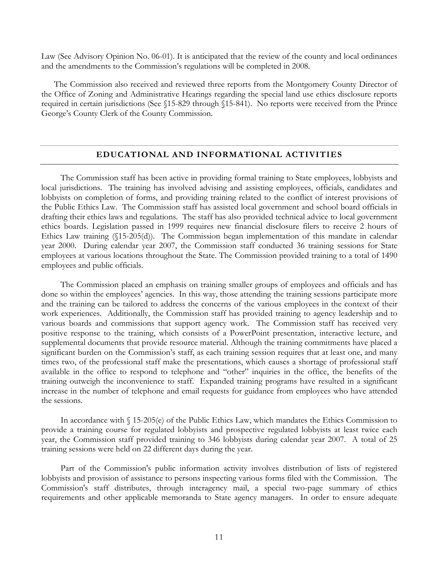Law (See Advisory Opinion No. 06-01). It is anticipated that the review of the county and local ordinances and the amendments to the Commission's regulations will be completed in 2008.

The Commission also received and reviewed three reports from the Montgomery County Director of the Office of Zoning and Administrative Hearings regarding the special land use ethics disclosure reports required in certain jurisdictions (See §15-829 through §15-841). No reports were received from the Prince George's County Clerk of the County Commission.

#### **EDUCATIONAL AND INFORMATIONAL ACTIVITIES**

 The Commission staff has been active in providing formal training to State employees, lobbyists and local jurisdictions. The training has involved advising and assisting employees, officials, candidates and lobbyists on completion of forms, and providing training related to the conflict of interest provisions of the Public Ethics Law. The Commission staff has assisted local government and school board officials in drafting their ethics laws and regulations. The staff has also provided technical advice to local government ethics boards. Legislation passed in 1999 requires new financial disclosure filers to receive 2 hours of Ethics Law training (§15-205(d)). The Commission began implementation of this mandate in calendar year 2000. During calendar year 2007, the Commission staff conducted 36 training sessions for State employees at various locations throughout the State. The Commission provided training to a total of 1490 employees and public officials.

 The Commission placed an emphasis on training smaller groups of employees and officials and has done so within the employees' agencies. In this way, those attending the training sessions participate more and the training can be tailored to address the concerns of the various employees in the context of their work experiences. Additionally, the Commission staff has provided training to agency leadership and to various boards and commissions that support agency work. The Commission staff has received very positive response to the training, which consists of a PowerPoint presentation, interactive lecture, and supplemental documents that provide resource material. Although the training commitments have placed a significant burden on the Commission's staff, as each training session requires that at least one, and many times two, of the professional staff make the presentations, which causes a shortage of professional staff available in the office to respond to telephone and "other" inquiries in the office, the benefits of the training outweigh the inconvenience to staff. Expanded training programs have resulted in a significant increase in the number of telephone and email requests for guidance from employees who have attended the sessions.

 In accordance with § 15-205(e) of the Public Ethics Law, which mandates the Ethics Commission to provide a training course for regulated lobbyists and prospective regulated lobbyists at least twice each year, the Commission staff provided training to 346 lobbyists during calendar year 2007. A total of 25 training sessions were held on 22 different days during the year.

 Part of the Commission's public information activity involves distribution of lists of registered lobbyists and provision of assistance to persons inspecting various forms filed with the Commission. The Commission's staff distributes, through interagency mail, a special two-page summary of ethics requirements and other applicable memoranda to State agency managers. In order to ensure adequate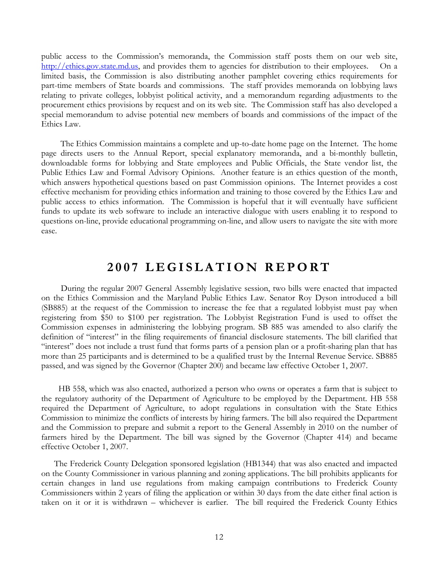public access to the Commission's memoranda, the Commission staff posts them on our web site, [http://ethics.gov.state.md.us,](http://ethics.gov.state.md.us/) and provides them to agencies for distribution to their employees. On a limited basis, the Commission is also distributing another pamphlet covering ethics requirements for part-time members of State boards and commissions. The staff provides memoranda on lobbying laws relating to private colleges, lobbyist political activity, and a memorandum regarding adjustments to the procurement ethics provisions by request and on its web site. The Commission staff has also developed a special memorandum to advise potential new members of boards and commissions of the impact of the Ethics Law.

 The Ethics Commission maintains a complete and up-to-date home page on the Internet. The home page directs users to the Annual Report, special explanatory memoranda, and a bi-monthly bulletin, downloadable forms for lobbying and State employees and Public Officials, the State vendor list, the Public Ethics Law and Formal Advisory Opinions. Another feature is an ethics question of the month, which answers hypothetical questions based on past Commission opinions. The Internet provides a cost effective mechanism for providing ethics information and training to those covered by the Ethics Law and public access to ethics information. The Commission is hopeful that it will eventually have sufficient funds to update its web software to include an interactive dialogue with users enabling it to respond to questions on-line, provide educational programming on-line, and allow users to navigate the site with more ease.

# **2007 LEGISLATION REPORT**

During the regular 2007 General Assembly legislative session, two bills were enacted that impacted on the Ethics Commission and the Maryland Public Ethics Law. Senator Roy Dyson introduced a bill (SB885) at the request of the Commission to increase the fee that a regulated lobbyist must pay when registering from \$50 to \$100 per registration. The Lobbyist Registration Fund is used to offset the Commission expenses in administering the lobbying program. SB 885 was amended to also clarify the definition of "interest" in the filing requirements of financial disclosure statements. The bill clarified that "interest" does not include a trust fund that forms parts of a pension plan or a profit-sharing plan that has more than 25 participants and is determined to be a qualified trust by the Internal Revenue Service. SB885 passed, and was signed by the Governor (Chapter 200) and became law effective October 1, 2007.

 HB 558, which was also enacted, authorized a person who owns or operates a farm that is subject to the regulatory authority of the Department of Agriculture to be employed by the Department. HB 558 required the Department of Agriculture, to adopt regulations in consultation with the State Ethics Commission to minimize the conflicts of interests by hiring farmers. The bill also required the Department and the Commission to prepare and submit a report to the General Assembly in 2010 on the number of farmers hired by the Department. The bill was signed by the Governor (Chapter 414) and became effective October 1, 2007.

The Frederick County Delegation sponsored legislation (HB1344) that was also enacted and impacted on the County Commissioner in various planning and zoning applications. The bill prohibits applicants for certain changes in land use regulations from making campaign contributions to Frederick County Commissioners within 2 years of filing the application or within 30 days from the date either final action is taken on it or it is withdrawn – whichever is earlier. The bill required the Frederick County Ethics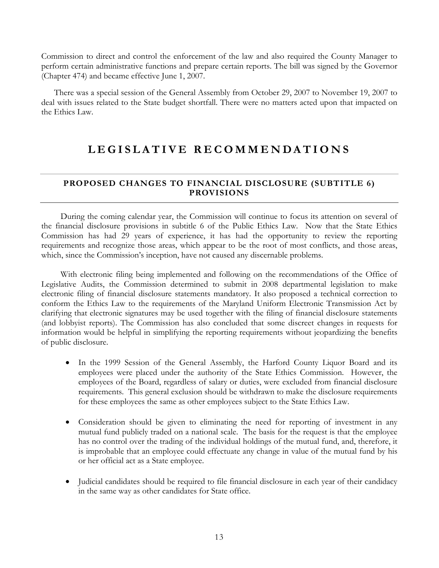Commission to direct and control the enforcement of the law and also required the County Manager to perform certain administrative functions and prepare certain reports. The bill was signed by the Governor (Chapter 474) and became effective June 1, 2007.

 There was a special session of the General Assembly from October 29, 2007 to November 19, 2007 to deal with issues related to the State budget shortfall. There were no matters acted upon that impacted on the Ethics Law.

# **LEGISLATIVE RECOMMENDATIONS**

#### **PROPOSED CHANGES TO FINANCIAL DISCLOSURE (SUBTITLE 6) PROVISIONS**

 During the coming calendar year, the Commission will continue to focus its attention on several of the financial disclosure provisions in subtitle 6 of the Public Ethics Law. Now that the State Ethics Commission has had 29 years of experience, it has had the opportunity to review the reporting requirements and recognize those areas, which appear to be the root of most conflicts, and those areas, which, since the Commission's inception, have not caused any discernable problems.

 With electronic filing being implemented and following on the recommendations of the Office of Legislative Audits, the Commission determined to submit in 2008 departmental legislation to make electronic filing of financial disclosure statements mandatory. It also proposed a technical correction to conform the Ethics Law to the requirements of the Maryland Uniform Electronic Transmission Act by clarifying that electronic signatures may be used together with the filing of financial disclosure statements (and lobbyist reports). The Commission has also concluded that some discreet changes in requests for information would be helpful in simplifying the reporting requirements without jeopardizing the benefits of public disclosure.

- In the 1999 Session of the General Assembly, the Harford County Liquor Board and its employees were placed under the authority of the State Ethics Commission. However, the employees of the Board, regardless of salary or duties, were excluded from financial disclosure requirements. This general exclusion should be withdrawn to make the disclosure requirements for these employees the same as other employees subject to the State Ethics Law.
- Consideration should be given to eliminating the need for reporting of investment in any mutual fund publicly traded on a national scale. The basis for the request is that the employee has no control over the trading of the individual holdings of the mutual fund, and, therefore, it is improbable that an employee could effectuate any change in value of the mutual fund by his or her official act as a State employee.
- Judicial candidates should be required to file financial disclosure in each year of their candidacy in the same way as other candidates for State office.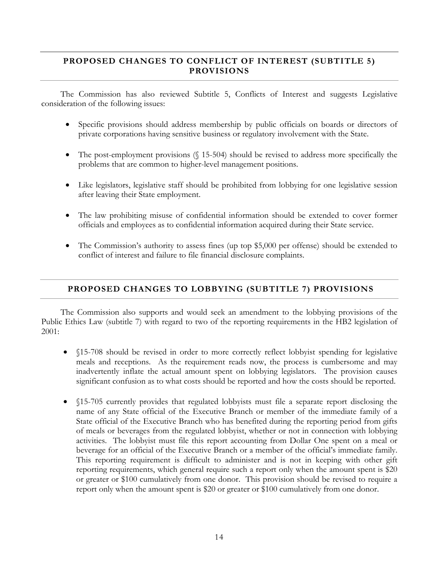## **PROPOSED CHANGES TO CONFLICT OF INTEREST (SUBTITLE 5) PROVISIONS**

 The Commission has also reviewed Subtitle 5, Conflicts of Interest and suggests Legislative consideration of the following issues:

- Specific provisions should address membership by public officials on boards or directors of private corporations having sensitive business or regulatory involvement with the State.
- The post-employment provisions (§ 15-504) should be revised to address more specifically the problems that are common to higher-level management positions.
- Like legislators, legislative staff should be prohibited from lobbying for one legislative session after leaving their State employment.
- The law prohibiting misuse of confidential information should be extended to cover former officials and employees as to confidential information acquired during their State service.
- The Commission's authority to assess fines (up top \$5,000 per offense) should be extended to conflict of interest and failure to file financial disclosure complaints.

#### **PROPOSED CHANGES TO LOBBYING (SUBTITLE 7) PROVISIONS**

 The Commission also supports and would seek an amendment to the lobbying provisions of the Public Ethics Law (subtitle 7) with regard to two of the reporting requirements in the HB2 legislation of 2001:

- §15-708 should be revised in order to more correctly reflect lobbyist spending for legislative meals and receptions. As the requirement reads now, the process is cumbersome and may inadvertently inflate the actual amount spent on lobbying legislators. The provision causes significant confusion as to what costs should be reported and how the costs should be reported.
- $$15-705$  currently provides that regulated lobbyists must file a separate report disclosing the name of any State official of the Executive Branch or member of the immediate family of a State official of the Executive Branch who has benefited during the reporting period from gifts of meals or beverages from the regulated lobbyist, whether or not in connection with lobbying activities. The lobbyist must file this report accounting from Dollar One spent on a meal or beverage for an official of the Executive Branch or a member of the official's immediate family. This reporting requirement is difficult to administer and is not in keeping with other gift reporting requirements, which general require such a report only when the amount spent is \$20 or greater or \$100 cumulatively from one donor. This provision should be revised to require a report only when the amount spent is \$20 or greater or \$100 cumulatively from one donor.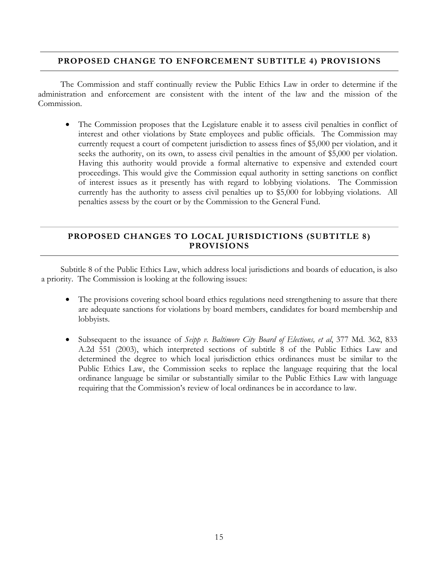#### **PROPOSED CHANGE TO ENFORCEMENT SUBTITLE 4) PROVISIONS**

 The Commission and staff continually review the Public Ethics Law in order to determine if the administration and enforcement are consistent with the intent of the law and the mission of the Commission.

• The Commission proposes that the Legislature enable it to assess civil penalties in conflict of interest and other violations by State employees and public officials. The Commission may currently request a court of competent jurisdiction to assess fines of \$5,000 per violation, and it seeks the authority, on its own, to assess civil penalties in the amount of \$5,000 per violation. Having this authority would provide a formal alternative to expensive and extended court proceedings. This would give the Commission equal authority in setting sanctions on conflict of interest issues as it presently has with regard to lobbying violations. The Commission currently has the authority to assess civil penalties up to \$5,000 for lobbying violations. All penalties assess by the court or by the Commission to the General Fund.

#### **PROPOSED CHANGES TO LOCAL JURISDICTIONS (SUBTITLE 8) PROVISIONS**

 Subtitle 8 of the Public Ethics Law, which address local jurisdictions and boards of education, is also a priority. The Commission is looking at the following issues:

- The provisions covering school board ethics regulations need strengthening to assure that there are adequate sanctions for violations by board members, candidates for board membership and lobbyists.
- Subsequent to the issuance of *Seipp v. Baltimore City Board of Elections, et al*, 377 Md. 362, 833 A.2d 551 (2003), which interpreted sections of subtitle 8 of the Public Ethics Law and determined the degree to which local jurisdiction ethics ordinances must be similar to the Public Ethics Law, the Commission seeks to replace the language requiring that the local ordinance language be similar or substantially similar to the Public Ethics Law with language requiring that the Commission's review of local ordinances be in accordance to law.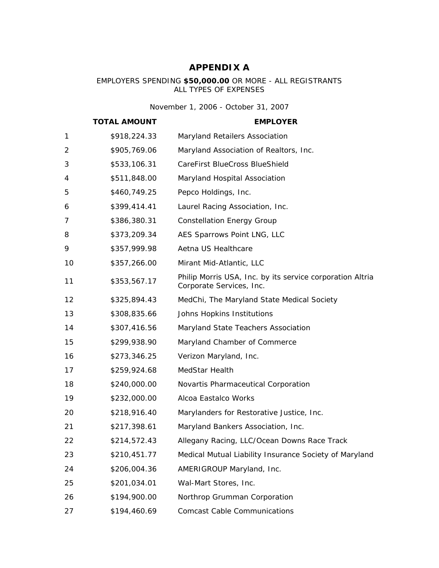# **APPENDIX A**

#### EMPLOYERS SPENDING **\$50,000.00** OR MORE - ALL REGISTRANTS ALL TYPES OF EXPENSES

*November 1, 2006 - October 31, 2007*

|                | <b>TOTAL AMOUNT</b> | <b>EMPLOYER</b>                                                                       |
|----------------|---------------------|---------------------------------------------------------------------------------------|
| 1              | \$918,224.33        | Maryland Retailers Association                                                        |
| $\overline{2}$ | \$905,769.06        | Maryland Association of Realtors, Inc.                                                |
| 3              | \$533,106.31        | CareFirst BlueCross BlueShield                                                        |
| 4              | \$511,848.00        | Maryland Hospital Association                                                         |
| 5              | \$460,749.25        | Pepco Holdings, Inc.                                                                  |
| 6              | \$399,414.41        | Laurel Racing Association, Inc.                                                       |
| 7              | \$386,380.31        | <b>Constellation Energy Group</b>                                                     |
| 8              | \$373,209.34        | AES Sparrows Point LNG, LLC                                                           |
| 9              | \$357,999.98        | Aetna US Healthcare                                                                   |
| 10             | \$357,266.00        | Mirant Mid-Atlantic, LLC                                                              |
| 11             | \$353,567.17        | Philip Morris USA, Inc. by its service corporation Altria<br>Corporate Services, Inc. |
| 12             | \$325,894.43        | MedChi, The Maryland State Medical Society                                            |
| 13             | \$308,835.66        | Johns Hopkins Institutions                                                            |
| 14             | \$307,416.56        | Maryland State Teachers Association                                                   |
| 15             | \$299,938.90        | Maryland Chamber of Commerce                                                          |
| 16             | \$273,346.25        | Verizon Maryland, Inc.                                                                |
| 17             | \$259,924.68        | MedStar Health                                                                        |
| 18             | \$240,000.00        | Novartis Pharmaceutical Corporation                                                   |
| 19             | \$232,000.00        | Alcoa Eastalco Works                                                                  |
| 20             | \$218,916.40        | Marylanders for Restorative Justice, Inc.                                             |
| 21             | \$217,398.61        | Maryland Bankers Association, Inc.                                                    |
| 22             | \$214,572.43        | Allegany Racing, LLC/Ocean Downs Race Track                                           |
| 23             | \$210,451.77        | Medical Mutual Liability Insurance Society of Maryland                                |
| 24             | \$206,004.36        | AMERIGROUP Maryland, Inc.                                                             |
| 25             | \$201,034.01        | Wal-Mart Stores, Inc.                                                                 |
| 26             | \$194,900.00        | Northrop Grumman Corporation                                                          |
| 27             | \$194,460.69        | <b>Comcast Cable Communications</b>                                                   |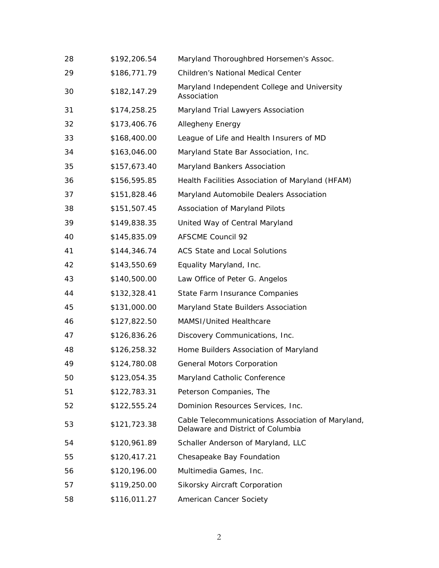| 28 | \$192,206.54 | Maryland Thoroughbred Horsemen's Assoc.                                                |
|----|--------------|----------------------------------------------------------------------------------------|
| 29 | \$186,771.79 | Children's National Medical Center                                                     |
| 30 | \$182,147.29 | Maryland Independent College and University<br>Association                             |
| 31 | \$174,258.25 | Maryland Trial Lawyers Association                                                     |
| 32 | \$173,406.76 | Allegheny Energy                                                                       |
| 33 | \$168,400.00 | League of Life and Health Insurers of MD                                               |
| 34 | \$163,046.00 | Maryland State Bar Association, Inc.                                                   |
| 35 | \$157,673.40 | Maryland Bankers Association                                                           |
| 36 | \$156,595.85 | Health Facilities Association of Maryland (HFAM)                                       |
| 37 | \$151,828.46 | Maryland Automobile Dealers Association                                                |
| 38 | \$151,507.45 | Association of Maryland Pilots                                                         |
| 39 | \$149,838.35 | United Way of Central Maryland                                                         |
| 40 | \$145,835.09 | <b>AFSCME Council 92</b>                                                               |
| 41 | \$144,346.74 | <b>ACS State and Local Solutions</b>                                                   |
| 42 | \$143,550.69 | Equality Maryland, Inc.                                                                |
| 43 | \$140,500.00 | Law Office of Peter G. Angelos                                                         |
| 44 | \$132,328.41 | State Farm Insurance Companies                                                         |
| 45 | \$131,000.00 | Maryland State Builders Association                                                    |
| 46 | \$127,822.50 | MAMSI/United Healthcare                                                                |
| 47 | \$126,836.26 | Discovery Communications, Inc.                                                         |
| 48 | \$126,258.32 | Home Builders Association of Maryland                                                  |
| 49 | \$124,780.08 | <b>General Motors Corporation</b>                                                      |
| 50 | \$123,054.35 | Maryland Catholic Conference                                                           |
| 51 | \$122,783.31 | Peterson Companies, The                                                                |
| 52 | \$122,555.24 | Dominion Resources Services, Inc.                                                      |
| 53 | \$121,723.38 | Cable Telecommunications Association of Maryland,<br>Delaware and District of Columbia |
| 54 | \$120,961.89 | Schaller Anderson of Maryland, LLC                                                     |
| 55 | \$120,417.21 | Chesapeake Bay Foundation                                                              |
| 56 | \$120,196.00 | Multimedia Games, Inc.                                                                 |
| 57 | \$119,250.00 | Sikorsky Aircraft Corporation                                                          |
| 58 | \$116,011.27 | American Cancer Society                                                                |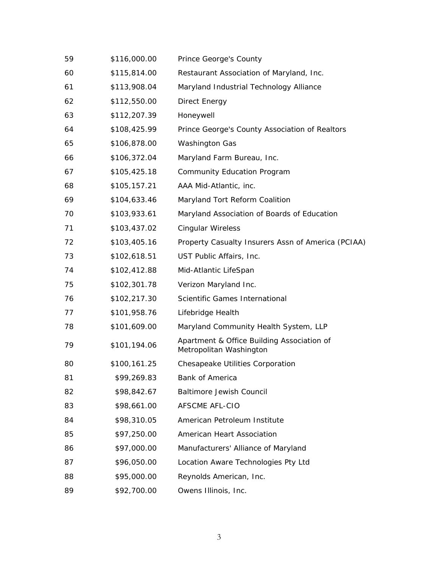| 59 | \$116,000.00 | Prince George's County                                                |
|----|--------------|-----------------------------------------------------------------------|
| 60 | \$115,814.00 | Restaurant Association of Maryland, Inc.                              |
| 61 | \$113,908.04 | Maryland Industrial Technology Alliance                               |
| 62 | \$112,550.00 | Direct Energy                                                         |
| 63 | \$112,207.39 | Honeywell                                                             |
| 64 | \$108,425.99 | Prince George's County Association of Realtors                        |
| 65 | \$106,878.00 | <b>Washington Gas</b>                                                 |
| 66 | \$106,372.04 | Maryland Farm Bureau, Inc.                                            |
| 67 | \$105,425.18 | <b>Community Education Program</b>                                    |
| 68 | \$105,157.21 | AAA Mid-Atlantic, inc.                                                |
| 69 | \$104,633.46 | Maryland Tort Reform Coalition                                        |
| 70 | \$103,933.61 | Maryland Association of Boards of Education                           |
| 71 | \$103,437.02 | <b>Cingular Wireless</b>                                              |
| 72 | \$103,405.16 | Property Casualty Insurers Assn of America (PCIAA)                    |
| 73 | \$102,618.51 | UST Public Affairs, Inc.                                              |
| 74 | \$102,412.88 | Mid-Atlantic LifeSpan                                                 |
| 75 | \$102,301.78 | Verizon Maryland Inc.                                                 |
| 76 | \$102,217.30 | Scientific Games International                                        |
| 77 | \$101,958.76 | Lifebridge Health                                                     |
| 78 | \$101,609.00 | Maryland Community Health System, LLP                                 |
| 79 | \$101,194.06 | Apartment & Office Building Association of<br>Metropolitan Washington |
| 80 | \$100,161.25 | <b>Chesapeake Utilities Corporation</b>                               |
| 81 | \$99,269.83  | Bank of America                                                       |
| 82 | \$98,842.67  | <b>Baltimore Jewish Council</b>                                       |
| 83 | \$98,661.00  | AFSCME AFL-CIO                                                        |
| 84 | \$98,310.05  | American Petroleum Institute                                          |
| 85 | \$97,250.00  | American Heart Association                                            |
| 86 | \$97,000.00  | Manufacturers' Alliance of Maryland                                   |
| 87 | \$96,050.00  | Location Aware Technologies Pty Ltd                                   |
| 88 | \$95,000.00  | Reynolds American, Inc.                                               |
| 89 | \$92,700.00  | Owens Illinois, Inc.                                                  |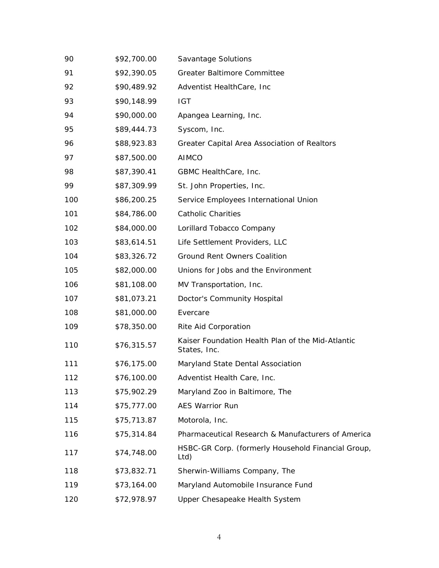| 90  | \$92,700.00 | Savantage Solutions                                               |
|-----|-------------|-------------------------------------------------------------------|
| 91  | \$92,390.05 | <b>Greater Baltimore Committee</b>                                |
| 92  | \$90,489.92 | Adventist HealthCare, Inc.                                        |
| 93  | \$90,148.99 | <b>IGT</b>                                                        |
| 94  | \$90,000.00 | Apangea Learning, Inc.                                            |
| 95  | \$89,444.73 | Syscom, Inc.                                                      |
| 96  | \$88,923.83 | Greater Capital Area Association of Realtors                      |
| 97  | \$87,500.00 | <b>AIMCO</b>                                                      |
| 98  | \$87,390.41 | GBMC HealthCare, Inc.                                             |
| 99  | \$87,309.99 | St. John Properties, Inc.                                         |
| 100 | \$86,200.25 | Service Employees International Union                             |
| 101 | \$84,786.00 | <b>Catholic Charities</b>                                         |
| 102 | \$84,000.00 | Lorillard Tobacco Company                                         |
| 103 | \$83,614.51 | Life Settlement Providers, LLC                                    |
| 104 | \$83,326.72 | <b>Ground Rent Owners Coalition</b>                               |
| 105 | \$82,000.00 | Unions for Jobs and the Environment                               |
| 106 | \$81,108.00 | MV Transportation, Inc.                                           |
| 107 | \$81,073.21 | Doctor's Community Hospital                                       |
| 108 | \$81,000.00 | Evercare                                                          |
| 109 | \$78,350.00 | Rite Aid Corporation                                              |
| 110 | \$76,315.57 | Kaiser Foundation Health Plan of the Mid-Atlantic<br>States, Inc. |
| 111 | \$76,175.00 | Maryland State Dental Association                                 |
| 112 | \$76,100.00 | Adventist Health Care, Inc.                                       |
| 113 | \$75,902.29 | Maryland Zoo in Baltimore, The                                    |
| 114 | \$75,777.00 | <b>AES Warrior Run</b>                                            |
| 115 | \$75,713.87 | Motorola, Inc.                                                    |
| 116 | \$75,314.84 | Pharmaceutical Research & Manufacturers of America                |
| 117 | \$74,748.00 | HSBC-GR Corp. (formerly Household Financial Group,<br>Ltd)        |
| 118 | \$73,832.71 | Sherwin-Williams Company, The                                     |
| 119 | \$73,164.00 | Maryland Automobile Insurance Fund                                |
| 120 | \$72,978.97 | Upper Chesapeake Health System                                    |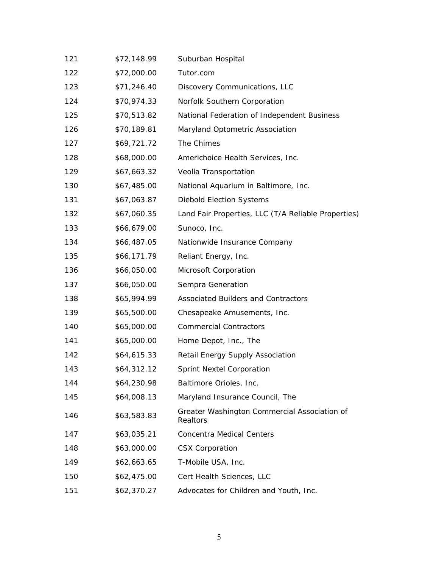| 121 | \$72,148.99 | Suburban Hospital                                        |
|-----|-------------|----------------------------------------------------------|
| 122 | \$72,000.00 | Tutor.com                                                |
| 123 | \$71,246.40 | Discovery Communications, LLC                            |
| 124 | \$70,974.33 | Norfolk Southern Corporation                             |
| 125 | \$70,513.82 | National Federation of Independent Business              |
| 126 | \$70,189.81 | Maryland Optometric Association                          |
| 127 | \$69,721.72 | The Chimes                                               |
| 128 | \$68,000.00 | Americhoice Health Services, Inc.                        |
| 129 | \$67,663.32 | Veolia Transportation                                    |
| 130 | \$67,485.00 | National Aquarium in Baltimore, Inc.                     |
| 131 | \$67,063.87 | <b>Diebold Election Systems</b>                          |
| 132 | \$67,060.35 | Land Fair Properties, LLC (T/A Reliable Properties)      |
| 133 | \$66,679.00 | Sunoco, Inc.                                             |
| 134 | \$66,487.05 | Nationwide Insurance Company                             |
| 135 | \$66,171.79 | Reliant Energy, Inc.                                     |
| 136 | \$66,050.00 | Microsoft Corporation                                    |
| 137 | \$66,050.00 | Sempra Generation                                        |
| 138 | \$65,994.99 | Associated Builders and Contractors                      |
| 139 | \$65,500.00 | Chesapeake Amusements, Inc.                              |
| 140 | \$65,000.00 | <b>Commercial Contractors</b>                            |
| 141 | \$65,000.00 | Home Depot, Inc., The                                    |
| 142 | \$64,615.33 | Retail Energy Supply Association                         |
| 143 | \$64,312.12 | <b>Sprint Nextel Corporation</b>                         |
| 144 | \$64,230.98 | Baltimore Orioles, Inc.                                  |
| 145 | \$64,008.13 | Maryland Insurance Council, The                          |
| 146 | \$63,583.83 | Greater Washington Commercial Association of<br>Realtors |
| 147 | \$63,035.21 | <b>Concentra Medical Centers</b>                         |
| 148 | \$63,000.00 | <b>CSX Corporation</b>                                   |
| 149 | \$62,663.65 | T-Mobile USA, Inc.                                       |
| 150 | \$62,475.00 | Cert Health Sciences, LLC                                |
| 151 | \$62,370.27 | Advocates for Children and Youth, Inc.                   |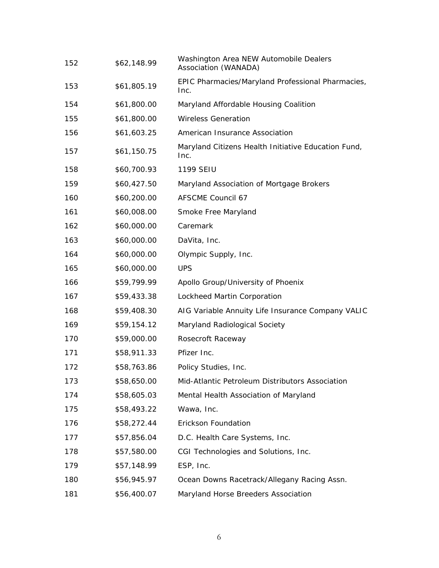| 152 | \$62,148.99 | Washington Area NEW Automobile Dealers<br>Association (WANADA) |
|-----|-------------|----------------------------------------------------------------|
| 153 | \$61,805.19 | EPIC Pharmacies/Maryland Professional Pharmacies,<br>Inc.      |
| 154 | \$61,800.00 | Maryland Affordable Housing Coalition                          |
| 155 | \$61,800.00 | <b>Wireless Generation</b>                                     |
| 156 | \$61,603.25 | American Insurance Association                                 |
| 157 | \$61,150.75 | Maryland Citizens Health Initiative Education Fund,<br>Inc.    |
| 158 | \$60,700.93 | 1199 SEIU                                                      |
| 159 | \$60,427.50 | Maryland Association of Mortgage Brokers                       |
| 160 | \$60,200.00 | <b>AFSCME Council 67</b>                                       |
| 161 | \$60,008.00 | Smoke Free Maryland                                            |
| 162 | \$60,000.00 | Caremark                                                       |
| 163 | \$60,000.00 | DaVita, Inc.                                                   |
| 164 | \$60,000.00 | Olympic Supply, Inc.                                           |
| 165 | \$60,000.00 | <b>UPS</b>                                                     |
| 166 | \$59,799.99 | Apollo Group/University of Phoenix                             |
| 167 | \$59,433.38 | Lockheed Martin Corporation                                    |
| 168 | \$59,408.30 | AIG Variable Annuity Life Insurance Company VALIC              |
| 169 | \$59,154.12 | Maryland Radiological Society                                  |
| 170 | \$59,000.00 | Rosecroft Raceway                                              |
| 171 | \$58,911.33 | Pfizer Inc.                                                    |
| 172 | \$58,763.86 | Policy Studies, Inc.                                           |
| 173 | \$58,650.00 | Mid-Atlantic Petroleum Distributors Association                |
| 174 | \$58,605.03 | Mental Health Association of Maryland                          |
| 175 | \$58,493.22 | Wawa, Inc.                                                     |
| 176 | \$58,272.44 | Erickson Foundation                                            |
| 177 | \$57,856.04 | D.C. Health Care Systems, Inc.                                 |
| 178 | \$57,580.00 | CGI Technologies and Solutions, Inc.                           |
| 179 | \$57,148.99 | ESP, Inc.                                                      |
| 180 | \$56,945.97 | Ocean Downs Racetrack/Allegany Racing Assn.                    |
| 181 | \$56,400.07 | Maryland Horse Breeders Association                            |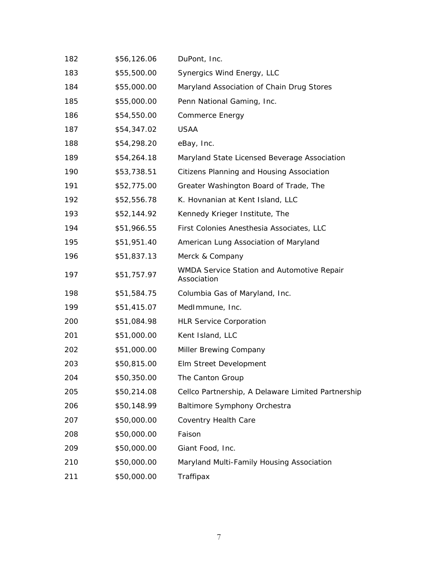| 182 | \$56,126.06 | DuPont, Inc.                                              |
|-----|-------------|-----------------------------------------------------------|
| 183 | \$55,500.00 | Synergics Wind Energy, LLC                                |
| 184 | \$55,000.00 | Maryland Association of Chain Drug Stores                 |
| 185 | \$55,000.00 | Penn National Gaming, Inc.                                |
| 186 | \$54,550.00 | <b>Commerce Energy</b>                                    |
| 187 | \$54,347.02 | <b>USAA</b>                                               |
| 188 | \$54,298.20 | eBay, Inc.                                                |
| 189 | \$54,264.18 | Maryland State Licensed Beverage Association              |
| 190 | \$53,738.51 | Citizens Planning and Housing Association                 |
| 191 | \$52,775.00 | Greater Washington Board of Trade, The                    |
| 192 | \$52,556.78 | K. Hovnanian at Kent Island, LLC                          |
| 193 | \$52,144.92 | Kennedy Krieger Institute, The                            |
| 194 | \$51,966.55 | First Colonies Anesthesia Associates, LLC                 |
| 195 | \$51,951.40 | American Lung Association of Maryland                     |
| 196 | \$51,837.13 | Merck & Company                                           |
| 197 | \$51,757.97 | WMDA Service Station and Automotive Repair<br>Association |
| 198 | \$51,584.75 | Columbia Gas of Maryland, Inc.                            |
| 199 | \$51,415.07 | MedImmune, Inc.                                           |
| 200 | \$51,084.98 | <b>HLR Service Corporation</b>                            |
| 201 | \$51,000.00 | Kent Island, LLC                                          |
| 202 | \$51,000.00 | Miller Brewing Company                                    |
| 203 | \$50,815.00 | Elm Street Development                                    |
| 204 | \$50,350.00 | The Canton Group                                          |
| 205 | \$50,214.08 | Cellco Partnership, A Delaware Limited Partnership        |
| 206 | \$50,148.99 | <b>Baltimore Symphony Orchestra</b>                       |
| 207 | \$50,000.00 | Coventry Health Care                                      |
| 208 | \$50,000.00 | Faison                                                    |
| 209 | \$50,000.00 | Giant Food, Inc.                                          |
| 210 | \$50,000.00 | Maryland Multi-Family Housing Association                 |
| 211 | \$50,000.00 | Traffipax                                                 |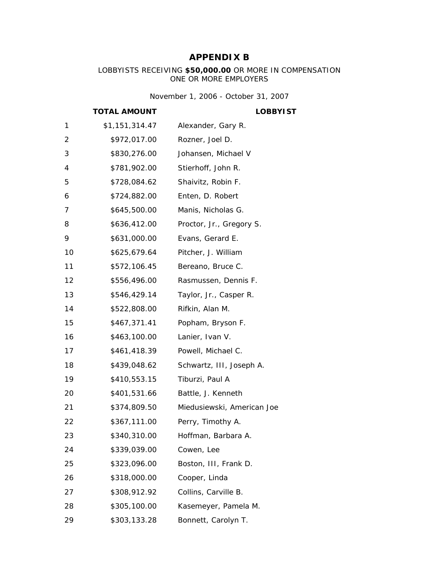# **APPENDIX B**

LOBBYISTS RECEIVING **\$50,000.00** OR MORE IN COMPENSATION ONE OR MORE EMPLOYERS

*November 1, 2006 - October 31, 2007*

#### **TOTAL AMOUNT LOBBYIST**

| 1  | \$1,151,314.47 | Alexander, Gary R.         |
|----|----------------|----------------------------|
| 2  | \$972,017.00   | Rozner, Joel D.            |
| 3  | \$830,276.00   | Johansen, Michael V        |
| 4  | \$781,902.00   | Stierhoff, John R.         |
| 5  | \$728,084.62   | Shaivitz, Robin F.         |
| 6  | \$724,882.00   | Enten, D. Robert           |
| 7  | \$645,500.00   | Manis, Nicholas G.         |
| 8  | \$636,412.00   | Proctor, Jr., Gregory S.   |
| 9  | \$631,000.00   | Evans, Gerard E.           |
| 10 | \$625,679.64   | Pitcher, J. William        |
| 11 | \$572,106.45   | Bereano, Bruce C.          |
| 12 | \$556,496.00   | Rasmussen, Dennis F.       |
| 13 | \$546,429.14   | Taylor, Jr., Casper R.     |
| 14 | \$522,808.00   | Rifkin, Alan M.            |
| 15 | \$467,371.41   | Popham, Bryson F.          |
| 16 | \$463,100.00   | Lanier, Ivan V.            |
| 17 | \$461,418.39   | Powell, Michael C.         |
| 18 | \$439,048.62   | Schwartz, III, Joseph A.   |
| 19 | \$410,553.15   | Tiburzi, Paul A            |
| 20 | \$401,531.66   | Battle, J. Kenneth         |
| 21 | \$374,809.50   | Miedusiewski, American Joe |
| 22 | \$367,111.00   | Perry, Timothy A.          |
| 23 | \$340,310.00   | Hoffman, Barbara A.        |
| 24 | \$339,039.00   | Cowen, Lee                 |
| 25 | \$323,096.00   | Boston, III, Frank D.      |
| 26 | \$318,000.00   | Cooper, Linda              |
| 27 | \$308,912.92   | Collins, Carville B.       |
| 28 | \$305,100.00   | Kasemeyer, Pamela M.       |
| 29 | \$303,133.28   | Bonnett, Carolyn T.        |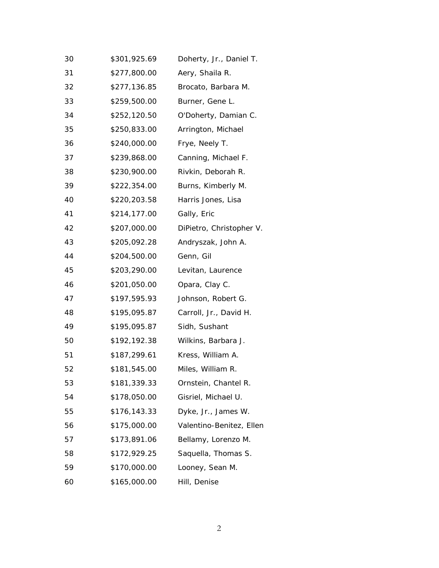| 30 | \$301,925.69 | Doherty, Jr., Daniel T.  |
|----|--------------|--------------------------|
| 31 | \$277,800.00 | Aery, Shaila R.          |
| 32 | \$277,136.85 | Brocato, Barbara M.      |
| 33 | \$259,500.00 | Burner, Gene L.          |
| 34 | \$252,120.50 | O'Doherty, Damian C.     |
| 35 | \$250,833.00 | Arrington, Michael       |
| 36 | \$240,000.00 | Frye, Neely T.           |
| 37 | \$239,868.00 | Canning, Michael F.      |
| 38 | \$230,900.00 | Rivkin, Deborah R.       |
| 39 | \$222,354.00 | Burns, Kimberly M.       |
| 40 | \$220,203.58 | Harris Jones, Lisa       |
| 41 | \$214,177.00 | Gally, Eric              |
| 42 | \$207,000.00 | DiPietro, Christopher V. |
| 43 | \$205,092.28 | Andryszak, John A.       |
| 44 | \$204,500.00 | Genn, Gil                |
| 45 | \$203,290.00 | Levitan, Laurence        |
| 46 | \$201,050.00 | Opara, Clay C.           |
| 47 | \$197,595.93 | Johnson, Robert G.       |
| 48 | \$195,095.87 | Carroll, Jr., David H.   |
| 49 | \$195,095.87 | Sidh, Sushant            |
| 50 | \$192,192.38 | Wilkins, Barbara J.      |
| 51 | \$187,299.61 | Kress, William A.        |
| 52 | \$181,545.00 | Miles, William R.        |
| 53 | \$181,339.33 | Ornstein, Chantel R.     |
| 54 | \$178,050.00 | Gisriel, Michael U.      |
| 55 | \$176,143.33 | Dyke, Jr., James W.      |
| 56 | \$175,000.00 | Valentino-Benitez, Ellen |
| 57 | \$173,891.06 | Bellamy, Lorenzo M.      |
| 58 | \$172,929.25 | Saquella, Thomas S.      |
| 59 | \$170,000.00 | Looney, Sean M.          |
| 60 | \$165,000.00 | Hill, Denise             |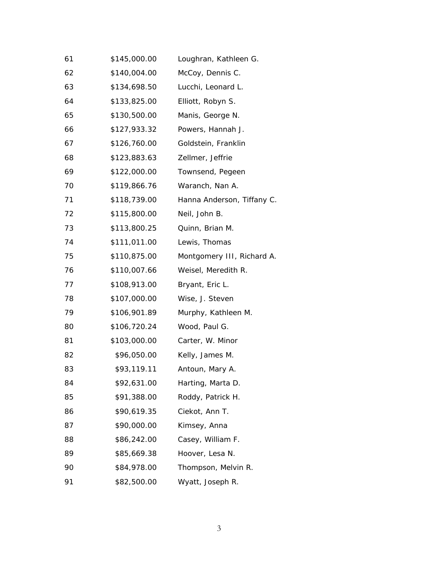| 61 | \$145,000.00 | Loughran, Kathleen G.      |
|----|--------------|----------------------------|
| 62 | \$140,004.00 | McCoy, Dennis C.           |
| 63 | \$134,698.50 | Lucchi, Leonard L.         |
| 64 | \$133,825.00 | Elliott, Robyn S.          |
| 65 | \$130,500.00 | Manis, George N.           |
| 66 | \$127,933.32 | Powers, Hannah J.          |
| 67 | \$126,760.00 | Goldstein, Franklin        |
| 68 | \$123,883.63 | Zellmer, Jeffrie           |
| 69 | \$122,000.00 | Townsend, Pegeen           |
| 70 | \$119,866.76 | Waranch, Nan A.            |
| 71 | \$118,739.00 | Hanna Anderson, Tiffany C. |
| 72 | \$115,800.00 | Neil, John B.              |
| 73 | \$113,800.25 | Quinn, Brian M.            |
| 74 | \$111,011.00 | Lewis, Thomas              |
| 75 | \$110,875.00 | Montgomery III, Richard A. |
| 76 | \$110,007.66 | Weisel, Meredith R.        |
| 77 | \$108,913.00 | Bryant, Eric L.            |
| 78 | \$107,000.00 | Wise, J. Steven            |
| 79 | \$106,901.89 | Murphy, Kathleen M.        |
| 80 | \$106,720.24 | Wood, Paul G.              |
| 81 | \$103,000.00 | Carter, W. Minor           |
| 82 | \$96,050.00  | Kelly, James M.            |
| 83 | \$93,119.11  | Antoun, Mary A.            |
| 84 | \$92,631.00  | Harting, Marta D.          |
| 85 | \$91,388.00  | Roddy, Patrick H.          |
| 86 | \$90,619.35  | Ciekot, Ann T.             |
| 87 | \$90,000.00  | Kimsey, Anna               |
| 88 | \$86,242.00  | Casey, William F.          |
| 89 | \$85,669.38  | Hoover, Lesa N.            |
| 90 | \$84,978.00  | Thompson, Melvin R.        |
| 91 | \$82,500.00  | Wyatt, Joseph R.           |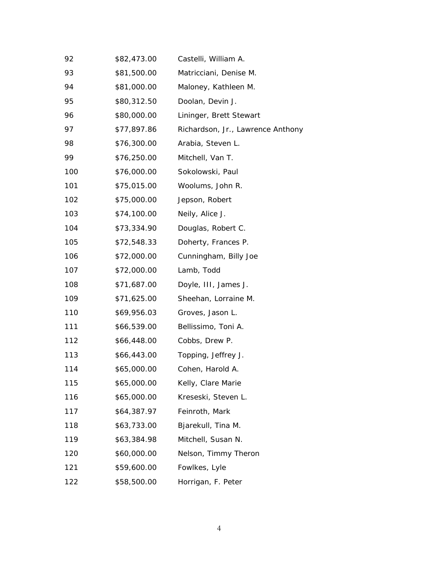| 92  | \$82,473.00 | Castelli, William A.              |
|-----|-------------|-----------------------------------|
| 93  | \$81,500.00 | Matricciani, Denise M.            |
| 94  | \$81,000.00 | Maloney, Kathleen M.              |
| 95  | \$80,312.50 | Doolan, Devin J.                  |
| 96  | \$80,000.00 | Lininger, Brett Stewart           |
| 97  | \$77,897.86 | Richardson, Jr., Lawrence Anthony |
| 98  | \$76,300.00 | Arabia, Steven L.                 |
| 99  | \$76,250.00 | Mitchell, Van T.                  |
| 100 | \$76,000.00 | Sokolowski, Paul                  |
| 101 | \$75,015.00 | Woolums, John R.                  |
| 102 | \$75,000.00 | Jepson, Robert                    |
| 103 | \$74,100.00 | Neily, Alice J.                   |
| 104 | \$73,334.90 | Douglas, Robert C.                |
| 105 | \$72,548.33 | Doherty, Frances P.               |
| 106 | \$72,000.00 | Cunningham, Billy Joe             |
| 107 | \$72,000.00 | Lamb, Todd                        |
| 108 | \$71,687.00 | Doyle, III, James J.              |
| 109 | \$71,625.00 | Sheehan, Lorraine M.              |
| 110 | \$69,956.03 | Groves, Jason L.                  |
| 111 | \$66,539.00 | Bellissimo, Toni A.               |
| 112 | \$66,448.00 | Cobbs, Drew P.                    |
| 113 | \$66,443.00 | Topping, Jeffrey J.               |
| 114 | \$65,000.00 | Cohen, Harold A.                  |
| 115 | \$65,000.00 | Kelly, Clare Marie                |
| 116 | \$65,000.00 | Kreseski, Steven L.               |
| 117 | \$64,387.97 | Feinroth, Mark                    |
| 118 | \$63,733.00 | Bjarekull, Tina M.                |
| 119 | \$63,384.98 | Mitchell, Susan N.                |
| 120 | \$60,000.00 | Nelson, Timmy Theron              |
| 121 | \$59,600.00 | Fowlkes, Lyle                     |
| 122 | \$58,500.00 | Horrigan, F. Peter                |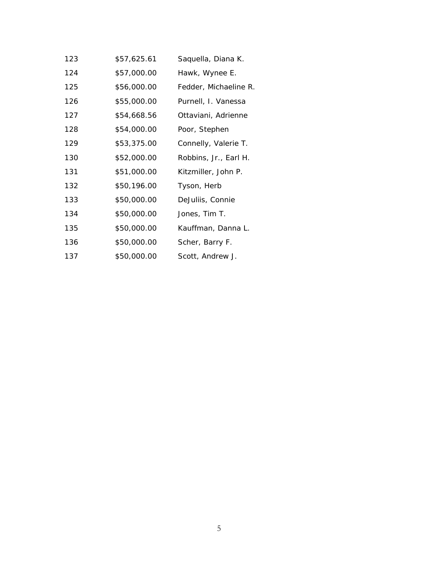| 123 | \$57,625.61 | Saquella, Diana K.    |
|-----|-------------|-----------------------|
| 124 | \$57,000.00 | Hawk, Wynee E.        |
| 125 | \$56,000.00 | Fedder, Michaeline R. |
| 126 | \$55,000.00 | Purnell, I. Vanessa   |
| 127 | \$54,668.56 | Ottaviani, Adrienne   |
| 128 | \$54,000.00 | Poor, Stephen         |
| 129 | \$53,375.00 | Connelly, Valerie T.  |
| 130 | \$52,000.00 | Robbins, Jr., Earl H. |
| 131 | \$51,000.00 | Kitzmiller, John P.   |
| 132 | \$50,196.00 | Tyson, Herb           |
| 133 | \$50,000.00 | DeJuliis, Connie      |
| 134 | \$50,000.00 | Jones, Tim T.         |
| 135 | \$50,000.00 | Kauffman, Danna L.    |
| 136 | \$50,000.00 | Scher, Barry F.       |
| 137 | \$50,000.00 | Scott, Andrew J.      |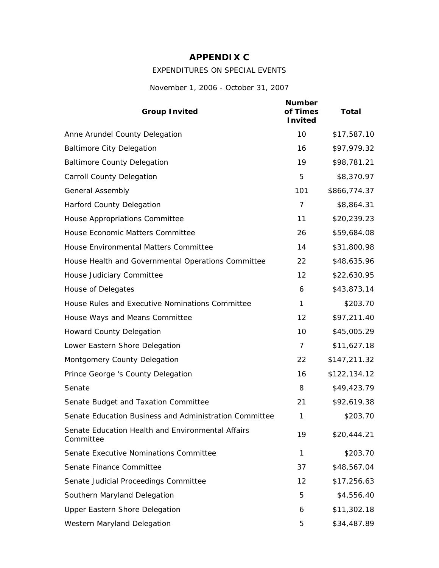## **APPENDIX C**

### EXPENDITURES ON SPECIAL EVENTS

*November 1, 2006 - October 31, 2007*

| <b>Group Invited</b>                                           | <b>Number</b><br>of Times<br><b>Invited</b> | <b>Total</b> |
|----------------------------------------------------------------|---------------------------------------------|--------------|
| Anne Arundel County Delegation                                 | 10                                          | \$17,587.10  |
| <b>Baltimore City Delegation</b>                               | 16                                          | \$97,979.32  |
| <b>Baltimore County Delegation</b>                             | 19                                          | \$98,781.21  |
| <b>Carroll County Delegation</b>                               | 5                                           | \$8,370.97   |
| <b>General Assembly</b>                                        | 101                                         | \$866,774.37 |
| <b>Harford County Delegation</b>                               | 7                                           | \$8,864.31   |
| House Appropriations Committee                                 | 11                                          | \$20,239.23  |
| House Economic Matters Committee                               | 26                                          | \$59,684.08  |
| House Environmental Matters Committee                          | 14                                          | \$31,800.98  |
| House Health and Governmental Operations Committee             | 22                                          | \$48,635.96  |
| House Judiciary Committee                                      | 12                                          | \$22,630.95  |
| House of Delegates                                             | 6                                           | \$43,873.14  |
| House Rules and Executive Nominations Committee                | 1                                           | \$203.70     |
| House Ways and Means Committee                                 | 12                                          | \$97,211.40  |
| <b>Howard County Delegation</b>                                | 10                                          | \$45,005.29  |
| Lower Eastern Shore Delegation                                 | 7                                           | \$11,627.18  |
| Montgomery County Delegation                                   | 22                                          | \$147,211.32 |
| Prince George 's County Delegation                             | 16                                          | \$122,134.12 |
| Senate                                                         | 8                                           | \$49,423.79  |
| Senate Budget and Taxation Committee                           | 21                                          | \$92,619.38  |
| Senate Education Business and Administration Committee         | 1                                           | \$203.70     |
| Senate Education Health and Environmental Affairs<br>Committee | 19                                          | \$20,444.21  |
| Senate Executive Nominations Committee                         | 1                                           | \$203.70     |
| Senate Finance Committee                                       | 37                                          | \$48,567.04  |
| Senate Judicial Proceedings Committee                          | 12                                          | \$17,256.63  |
| Southern Maryland Delegation                                   | 5                                           | \$4,556.40   |
| <b>Upper Eastern Shore Delegation</b>                          | 6                                           | \$11,302.18  |
| Western Maryland Delegation                                    | 5                                           | \$34,487.89  |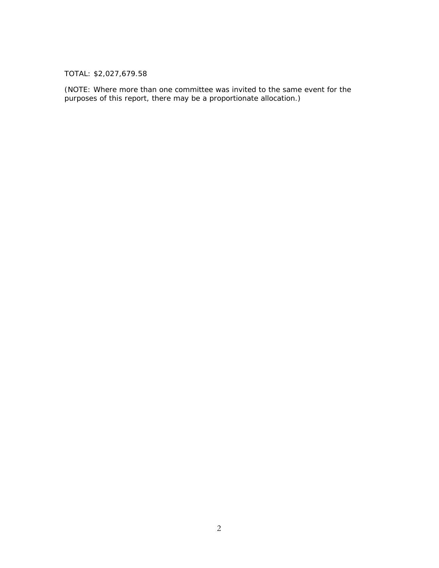TOTAL: \$2,027,679.58

(NOTE: Where more than one committee was invited to the same event for the purposes of this report, there may be a proportionate allocation.)